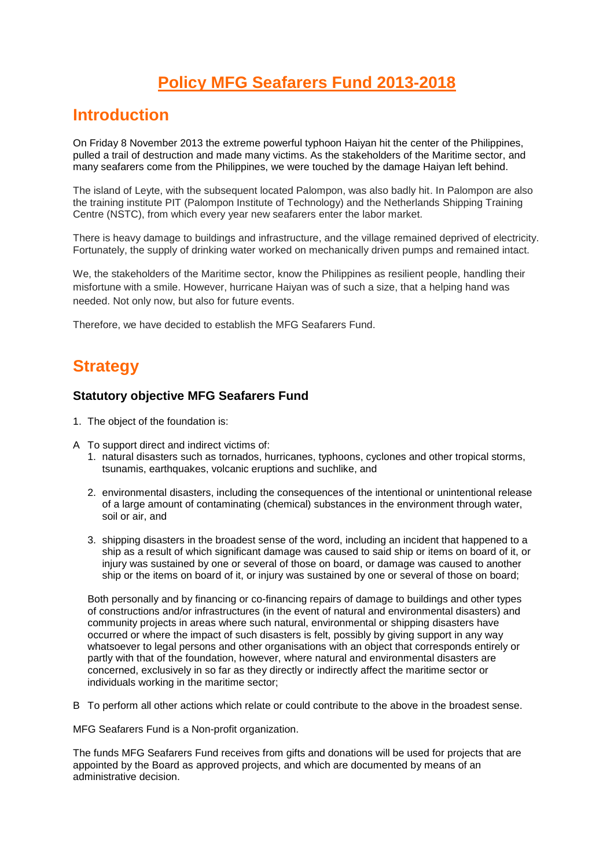# **Policy MFG Seafarers Fund 2013-2018**

## **Introduction**

On Friday 8 November 2013 the extreme powerful typhoon Haiyan hit the center of the Philippines, pulled a trail of destruction and made many victims. As the stakeholders of the Maritime sector, and many seafarers come from the Philippines, we were touched by the damage Haiyan left behind.

The island of Leyte, with the subsequent located Palompon, was also badly hit. In Palompon are also the training institute PIT (Palompon Institute of Technology) and the Netherlands Shipping Training Centre (NSTC), from which every year new seafarers enter the labor market.

There is heavy damage to buildings and infrastructure, and the village remained deprived of electricity. Fortunately, the supply of drinking water worked on mechanically driven pumps and remained intact.

We, the stakeholders of the Maritime sector, know the Philippines as resilient people, handling their misfortune with a smile. However, hurricane Haiyan was of such a size, that a helping hand was needed. Not only now, but also for future events.

Therefore, we have decided to establish the MFG Seafarers Fund.

# **Strategy**

#### **Statutory objective MFG Seafarers Fund**

- 1. The object of the foundation is:
- A To support direct and indirect victims of:
	- 1. natural disasters such as tornados, hurricanes, typhoons, cyclones and other tropical storms, tsunamis, earthquakes, volcanic eruptions and suchlike, and
	- 2. environmental disasters, including the consequences of the intentional or unintentional release of a large amount of contaminating (chemical) substances in the environment through water, soil or air, and
	- 3. shipping disasters in the broadest sense of the word, including an incident that happened to a ship as a result of which significant damage was caused to said ship or items on board of it, or injury was sustained by one or several of those on board, or damage was caused to another ship or the items on board of it, or injury was sustained by one or several of those on board;

Both personally and by financing or co-financing repairs of damage to buildings and other types of constructions and/or infrastructures (in the event of natural and environmental disasters) and community projects in areas where such natural, environmental or shipping disasters have occurred or where the impact of such disasters is felt, possibly by giving support in any way whatsoever to legal persons and other organisations with an object that corresponds entirely or partly with that of the foundation, however, where natural and environmental disasters are concerned, exclusively in so far as they directly or indirectly affect the maritime sector or individuals working in the maritime sector;

B To perform all other actions which relate or could contribute to the above in the broadest sense.

MFG Seafarers Fund is a Non-profit organization.

The funds MFG Seafarers Fund receives from gifts and donations will be used for projects that are appointed by the Board as approved projects, and which are documented by means of an administrative decision.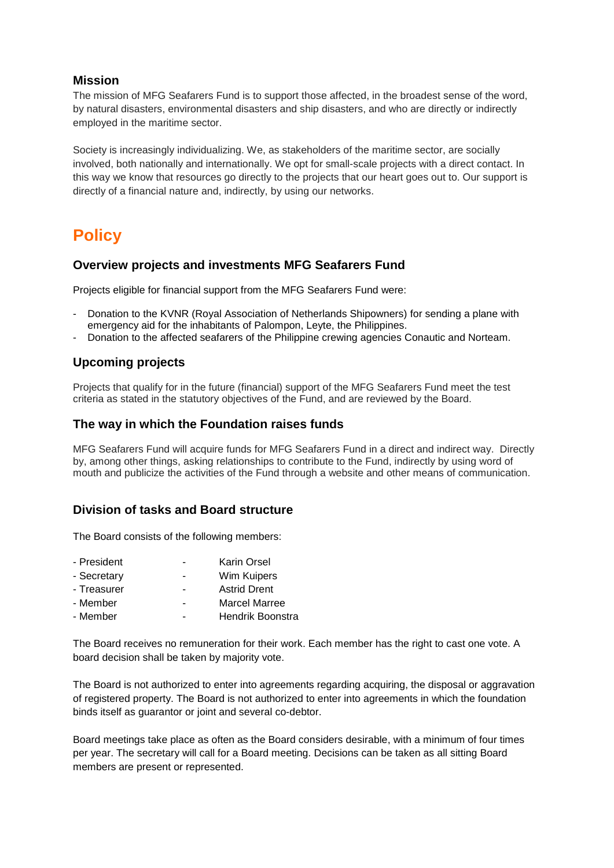### **Mission**

The mission of MFG Seafarers Fund is to support those affected, in the broadest sense of the word, by natural disasters, environmental disasters and ship disasters, and who are directly or indirectly employed in the maritime sector.

Society is increasingly individualizing. We, as stakeholders of the maritime sector, are socially involved, both nationally and internationally. We opt for small-scale projects with a direct contact. In this way we know that resources go directly to the projects that our heart goes out to. Our support is directly of a financial nature and, indirectly, by using our networks.

# **Policy**

### **Overview projects and investments MFG Seafarers Fund**

Projects eligible for financial support from the MFG Seafarers Fund were:

- Donation to the KVNR (Royal Association of Netherlands Shipowners) for sending a plane with emergency aid for the inhabitants of Palompon, Leyte, the Philippines.
- Donation to the affected seafarers of the Philippine crewing agencies Conautic and Norteam.

### **Upcoming projects**

Projects that qualify for in the future (financial) support of the MFG Seafarers Fund meet the test criteria as stated in the statutory objectives of the Fund, and are reviewed by the Board.

#### **The way in which the Foundation raises funds**

MFG Seafarers Fund will acquire funds for MFG Seafarers Fund in a direct and indirect way. Directly by, among other things, asking relationships to contribute to the Fund, indirectly by using word of mouth and publicize the activities of the Fund through a website and other means of communication.

### **Division of tasks and Board structure**

The Board consists of the following members:

- President Karin Orsel
- Secretary  **Wim Kuipers**
- Treasurer Astrid Drent
- Member Marcel Marree
- Member Hendrik Boonstra

The Board receives no remuneration for their work. Each member has the right to cast one vote. A board decision shall be taken by majority vote.

The Board is not authorized to enter into agreements regarding acquiring, the disposal or aggravation of registered property. The Board is not authorized to enter into agreements in which the foundation binds itself as guarantor or joint and several co-debtor.

Board meetings take place as often as the Board considers desirable, with a minimum of four times per year. The secretary will call for a Board meeting. Decisions can be taken as all sitting Board members are present or represented.